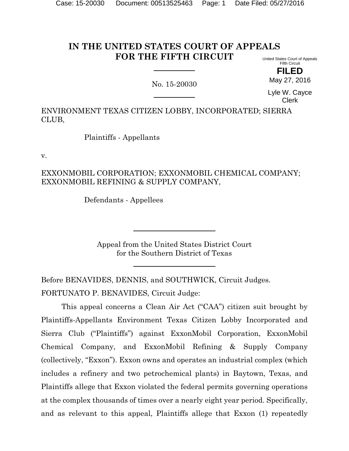#### **IN THE UNITED STATES COURT OF APPEALS FOR THE FIFTH CIRCUIT** United States Court of Appeals

No. 15-20030

Fifth Circuit **FILED**

May 27, 2016

Lyle W. Cayce Clerk

ENVIRONMENT TEXAS CITIZEN LOBBY, INCORPORATED; SIERRA CLUB,

Plaintiffs - Appellants

v.

# EXXONMOBIL CORPORATION; EXXONMOBIL CHEMICAL COMPANY; EXXONMOBIL REFINING & SUPPLY COMPANY,

Defendants - Appellees

Appeal from the United States District Court for the Southern District of Texas

Before BENAVIDES, DENNIS, and SOUTHWICK, Circuit Judges. FORTUNATO P. BENAVIDES, Circuit Judge:

This appeal concerns a Clean Air Act ("CAA") citizen suit brought by Plaintiffs-Appellants Environment Texas Citizen Lobby Incorporated and Sierra Club ("Plaintiffs") against ExxonMobil Corporation, ExxonMobil Chemical Company, and ExxonMobil Refining & Supply Company (collectively, "Exxon"). Exxon owns and operates an industrial complex (which includes a refinery and two petrochemical plants) in Baytown, Texas, and Plaintiffs allege that Exxon violated the federal permits governing operations at the complex thousands of times over a nearly eight year period. Specifically, and as relevant to this appeal, Plaintiffs allege that Exxon (1) repeatedly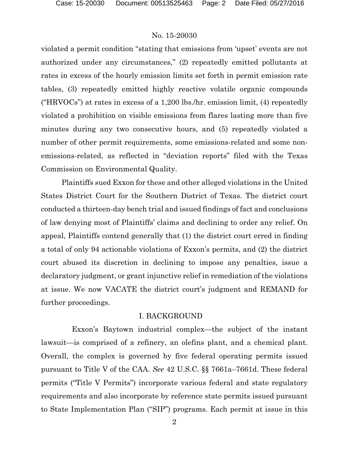violated a permit condition "stating that emissions from 'upset' events are not authorized under any circumstances," (2) repeatedly emitted pollutants at rates in excess of the hourly emission limits set forth in permit emission rate tables, (3) repeatedly emitted highly reactive volatile organic compounds ("HRVOCs") at rates in excess of a 1,200 lbs./hr. emission limit, (4) repeatedly violated a prohibition on visible emissions from flares lasting more than five minutes during any two consecutive hours, and (5) repeatedly violated a number of other permit requirements, some emissions-related and some nonemissions-related, as reflected in "deviation reports" filed with the Texas Commission on Environmental Quality.

Plaintiffs sued Exxon for these and other alleged violations in the United States District Court for the Southern District of Texas. The district court conducted a thirteen-day bench trial and issued findings of fact and conclusions of law denying most of Plaintiffs' claims and declining to order any relief. On appeal, Plaintiffs contend generally that (1) the district court erred in finding a total of only 94 actionable violations of Exxon's permits, and (2) the district court abused its discretion in declining to impose any penalties, issue a declaratory judgment, or grant injunctive relief in remediation of the violations at issue. We now VACATE the district court's judgment and REMAND for further proceedings.

## I. BACKGROUND

 Exxon's Baytown industrial complex—the subject of the instant lawsuit—is comprised of a refinery, an olefins plant, and a chemical plant. Overall, the complex is governed by five federal operating permits issued pursuant to Title V of the CAA. *See* 42 U.S.C. §§ 7661a–7661d. These federal permits ("Title V Permits") incorporate various federal and state regulatory requirements and also incorporate by reference state permits issued pursuant to State Implementation Plan ("SIP") programs. Each permit at issue in this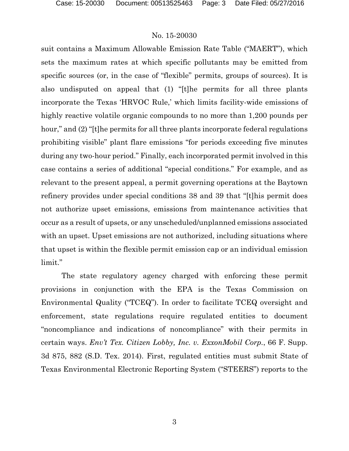suit contains a Maximum Allowable Emission Rate Table ("MAERT"), which sets the maximum rates at which specific pollutants may be emitted from specific sources (or, in the case of "flexible" permits, groups of sources). It is also undisputed on appeal that (1) "[t]he permits for all three plants incorporate the Texas 'HRVOC Rule,' which limits facility-wide emissions of highly reactive volatile organic compounds to no more than 1,200 pounds per hour," and (2) "[t]he permits for all three plants incorporate federal regulations prohibiting visible" plant flare emissions "for periods exceeding five minutes during any two-hour period." Finally, each incorporated permit involved in this case contains a series of additional "special conditions." For example, and as relevant to the present appeal, a permit governing operations at the Baytown refinery provides under special conditions 38 and 39 that "[t]his permit does not authorize upset emissions, emissions from maintenance activities that occur as a result of upsets, or any unscheduled/unplanned emissions associated with an upset. Upset emissions are not authorized, including situations where that upset is within the flexible permit emission cap or an individual emission limit."

The state regulatory agency charged with enforcing these permit provisions in conjunction with the EPA is the Texas Commission on Environmental Quality ("TCEQ"). In order to facilitate TCEQ oversight and enforcement, state regulations require regulated entities to document "noncompliance and indications of noncompliance" with their permits in certain ways. *Env't Tex. Citizen Lobby, Inc. v. ExxonMobil Corp.*, 66 F. Supp. 3d 875, 882 (S.D. Tex. 2014). First, regulated entities must submit State of Texas Environmental Electronic Reporting System ("STEERS") reports to the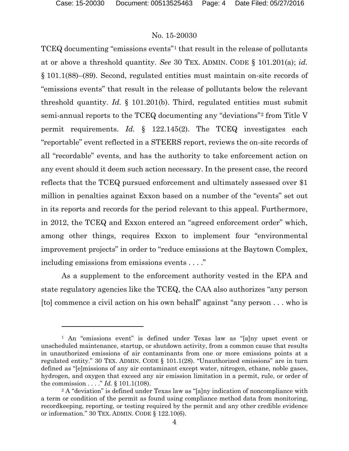## No. 15-20030

TCEQ documenting "emissions events"[1](#page-3-0) that result in the release of pollutants at or above a threshold quantity. *See* 30 TEX. ADMIN. CODE § 101.201(a); *id.*  § 101.1(88)–(89). Second, regulated entities must maintain on-site records of "emissions events" that result in the release of pollutants below the relevant threshold quantity. *Id.* § 101.201(b). Third, regulated entities must submit semi-annual reports to the TCEQ documenting any "deviations"[2](#page-3-1) from Title V permit requirements. *Id.* § 122.145(2). The TCEQ investigates each "reportable" event reflected in a STEERS report, reviews the on-site records of all "recordable" events, and has the authority to take enforcement action on any event should it deem such action necessary. In the present case, the record reflects that the TCEQ pursued enforcement and ultimately assessed over \$1 million in penalties against Exxon based on a number of the "events" set out in its reports and records for the period relevant to this appeal. Furthermore, in 2012, the TCEQ and Exxon entered an "agreed enforcement order" which, among other things, requires Exxon to implement four "environmental improvement projects" in order to "reduce emissions at the Baytown Complex, including emissions from emissions events . . . ."

As a supplement to the enforcement authority vested in the EPA and state regulatory agencies like the TCEQ, the CAA also authorizes "any person [to] commence a civil action on his own behalf" against "any person . . . who is

<span id="page-3-0"></span><sup>1</sup> An "emissions event" is defined under Texas law as "[a]ny upset event or unscheduled maintenance, startup, or shutdown activity, from a common cause that results in unauthorized emissions of air contaminants from one or more emissions points at a regulated entity." 30 TEX. ADMIN. CODE § 101.1(28). "Unauthorized emissions" are in turn defined as "[e]missions of any air contaminant except water, nitrogen, ethane, noble gases, hydrogen, and oxygen that exceed any air emission limitation in a permit, rule, or order of the commission . . . ." *Id.* § 101.1(108).

<span id="page-3-1"></span><sup>&</sup>lt;sup>2</sup> A "deviation" is defined under Texas law as "[a]ny indication of noncompliance with a term or condition of the permit as found using compliance method data from monitoring, recordkeeping, reporting, or testing required by the permit and any other credible evidence or information." 30 TEX. ADMIN. CODE § 122.10(6).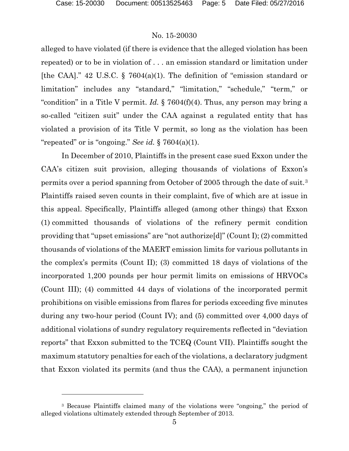l

## No. 15-20030

alleged to have violated (if there is evidence that the alleged violation has been repeated) or to be in violation of . . . an emission standard or limitation under [the CAA]." 42 U.S.C.  $\S$  7604(a)(1). The definition of "emission standard or limitation" includes any "standard," "limitation," "schedule," "term," or "condition" in a Title V permit. *Id.* § 7604(f)(4). Thus, any person may bring a so-called "citizen suit" under the CAA against a regulated entity that has violated a provision of its Title V permit, so long as the violation has been "repeated" or is "ongoing." *See id.* § 7604(a)(1).

In December of 2010, Plaintiffs in the present case sued Exxon under the CAA's citizen suit provision, alleging thousands of violations of Exxon's permits over a period spanning from October of 2005 through the date of suit.[3](#page-4-0) Plaintiffs raised seven counts in their complaint, five of which are at issue in this appeal. Specifically, Plaintiffs alleged (among other things) that Exxon (1) committed thousands of violations of the refinery permit condition providing that "upset emissions" are "not authorize[d]" (Count I); (2) committed thousands of violations of the MAERT emission limits for various pollutants in the complex's permits (Count II); (3) committed 18 days of violations of the incorporated 1,200 pounds per hour permit limits on emissions of HRVOCs (Count III); (4) committed 44 days of violations of the incorporated permit prohibitions on visible emissions from flares for periods exceeding five minutes during any two-hour period (Count IV); and (5) committed over 4,000 days of additional violations of sundry regulatory requirements reflected in "deviation reports" that Exxon submitted to the TCEQ (Count VII). Plaintiffs sought the maximum statutory penalties for each of the violations, a declaratory judgment that Exxon violated its permits (and thus the CAA), a permanent injunction

<span id="page-4-0"></span><sup>3</sup> Because Plaintiffs claimed many of the violations were "ongoing," the period of alleged violations ultimately extended through September of 2013.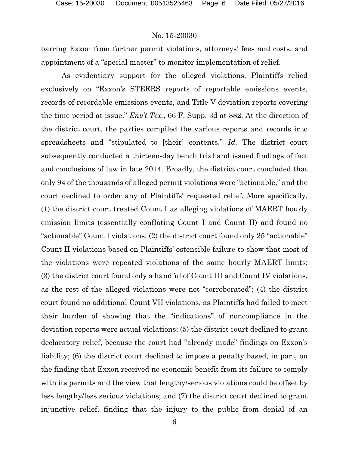barring Exxon from further permit violations, attorneys' fees and costs, and appointment of a "special master" to monitor implementation of relief.

As evidentiary support for the alleged violations, Plaintiffs relied exclusively on "Exxon's STEERS reports of reportable emissions events, records of recordable emissions events, and Title V deviation reports covering the time period at issue." *Env't Tex.*, 66 F. Supp. 3d at 882. At the direction of the district court, the parties compiled the various reports and records into spreadsheets and "stipulated to [their] contents." *Id.* The district court subsequently conducted a thirteen-day bench trial and issued findings of fact and conclusions of law in late 2014. Broadly, the district court concluded that only 94 of the thousands of alleged permit violations were "actionable," and the court declined to order any of Plaintiffs' requested relief. More specifically, (1) the district court treated Count I as alleging violations of MAERT hourly emission limits (essentially conflating Count I and Count II) and found no "actionable" Count I violations; (2) the district court found only 25 "actionable" Count II violations based on Plaintiffs' ostensible failure to show that most of the violations were repeated violations of the same hourly MAERT limits; (3) the district court found only a handful of Count III and Count IV violations, as the rest of the alleged violations were not "corroborated"; (4) the district court found no additional Count VII violations, as Plaintiffs had failed to meet their burden of showing that the "indications" of noncompliance in the deviation reports were actual violations; (5) the district court declined to grant declaratory relief, because the court had "already made" findings on Exxon's liability; (6) the district court declined to impose a penalty based, in part, on the finding that Exxon received no economic benefit from its failure to comply with its permits and the view that lengthy/serious violations could be offset by less lengthy/less serious violations; and (7) the district court declined to grant injunctive relief, finding that the injury to the public from denial of an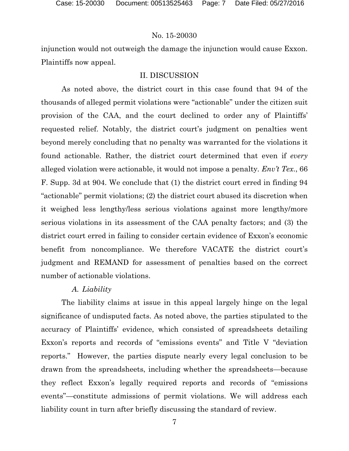injunction would not outweigh the damage the injunction would cause Exxon. Plaintiffs now appeal.

# II. DISCUSSION

As noted above, the district court in this case found that 94 of the thousands of alleged permit violations were "actionable" under the citizen suit provision of the CAA, and the court declined to order any of Plaintiffs' requested relief. Notably, the district court's judgment on penalties went beyond merely concluding that no penalty was warranted for the violations it found actionable. Rather, the district court determined that even if *every*  alleged violation were actionable, it would not impose a penalty*. Env't Tex*., 66 F. Supp. 3d at 904. We conclude that (1) the district court erred in finding 94 "actionable" permit violations; (2) the district court abused its discretion when it weighed less lengthy/less serious violations against more lengthy/more serious violations in its assessment of the CAA penalty factors; and (3) the district court erred in failing to consider certain evidence of Exxon's economic benefit from noncompliance. We therefore VACATE the district court's judgment and REMAND for assessment of penalties based on the correct number of actionable violations.

# *A. Liability*

The liability claims at issue in this appeal largely hinge on the legal significance of undisputed facts. As noted above, the parties stipulated to the accuracy of Plaintiffs' evidence, which consisted of spreadsheets detailing Exxon's reports and records of "emissions events" and Title V "deviation reports." However, the parties dispute nearly every legal conclusion to be drawn from the spreadsheets, including whether the spreadsheets—because they reflect Exxon's legally required reports and records of "emissions events"—constitute admissions of permit violations. We will address each liability count in turn after briefly discussing the standard of review.

7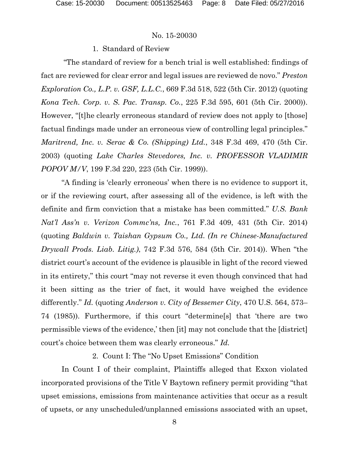### 1. Standard of Review

"The standard of review for a bench trial is well established: findings of fact are reviewed for clear error and legal issues are reviewed de novo." *Preston Exploration Co., L.P. v. GSF, L.L.C.*, 669 F.3d 518, 522 (5th Cir. 2012) (quoting *Kona Tech. Corp. v. S. Pac. Transp. Co.*, 225 F.3d 595, 601 (5th Cir. 2000)). However, "[t]he clearly erroneous standard of review does not apply to [those] factual findings made under an erroneous view of controlling legal principles." *Maritrend, Inc. v. Serac & Co. (Shipping) Ltd.*, 348 F.3d 469, 470 (5th Cir. 2003) (quoting *Lake Charles Stevedores, Inc. v. PROFESSOR VLADIMIR POPOV M/V*, 199 F.3d 220, 223 (5th Cir. 1999)).

"A finding is 'clearly erroneous' when there is no evidence to support it, or if the reviewing court, after assessing all of the evidence, is left with the definite and firm conviction that a mistake has been committed." *U.S. Bank Nat'l Ass'n v. Verizon Commc'ns, Inc.*, 761 F.3d 409, 431 (5th Cir. 2014) (quoting *Baldwin v. Taishan Gypsum Co., Ltd. (In re Chinese-Manufactured Drywall Prods. Liab. Litig.)*, 742 F.3d 576, 584 (5th Cir. 2014)). When "the district court's account of the evidence is plausible in light of the record viewed in its entirety," this court "may not reverse it even though convinced that had it been sitting as the trier of fact, it would have weighed the evidence differently." *Id.* (quoting *Anderson v. City of Bessemer City*, 470 U.S. 564, 573– 74 (1985)). Furthermore, if this court "determine[s] that 'there are two permissible views of the evidence,' then [it] may not conclude that the [district] court's choice between them was clearly erroneous." *Id.*

2. Count I: The "No Upset Emissions" Condition

In Count I of their complaint, Plaintiffs alleged that Exxon violated incorporated provisions of the Title V Baytown refinery permit providing "that upset emissions, emissions from maintenance activities that occur as a result of upsets, or any unscheduled/unplanned emissions associated with an upset,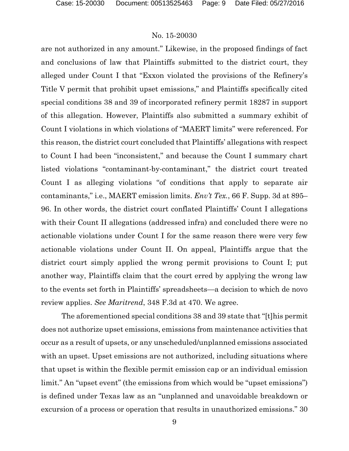are not authorized in any amount." Likewise, in the proposed findings of fact and conclusions of law that Plaintiffs submitted to the district court, they alleged under Count I that "Exxon violated the provisions of the Refinery's Title V permit that prohibit upset emissions," and Plaintiffs specifically cited special conditions 38 and 39 of incorporated refinery permit 18287 in support of this allegation. However, Plaintiffs also submitted a summary exhibit of Count I violations in which violations of "MAERT limits" were referenced. For this reason, the district court concluded that Plaintiffs' allegations with respect to Count I had been "inconsistent," and because the Count I summary chart listed violations "contaminant-by-contaminant," the district court treated Count I as alleging violations "of conditions that apply to separate air contaminants," i.e., MAERT emission limits. *Env't Tex.*, 66 F. Supp. 3d at 895– 96. In other words, the district court conflated Plaintiffs' Count I allegations with their Count II allegations (addressed infra) and concluded there were no actionable violations under Count I for the same reason there were very few actionable violations under Count II. On appeal, Plaintiffs argue that the district court simply applied the wrong permit provisions to Count I; put another way, Plaintiffs claim that the court erred by applying the wrong law to the events set forth in Plaintiffs' spreadsheets—a decision to which de novo review applies. *See Maritrend*, 348 F.3d at 470. We agree.

The aforementioned special conditions 38 and 39 state that "[t]his permit does not authorize upset emissions, emissions from maintenance activities that occur as a result of upsets, or any unscheduled/unplanned emissions associated with an upset. Upset emissions are not authorized, including situations where that upset is within the flexible permit emission cap or an individual emission limit." An "upset event" (the emissions from which would be "upset emissions") is defined under Texas law as an "unplanned and unavoidable breakdown or excursion of a process or operation that results in unauthorized emissions." 30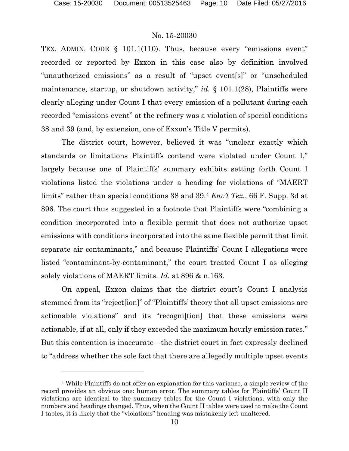l

## No. 15-20030

TEX. ADMIN. CODE § 101.1(110). Thus, because every "emissions event" recorded or reported by Exxon in this case also by definition involved "unauthorized emissions" as a result of "upset event[s]" or "unscheduled maintenance, startup, or shutdown activity," *id.* § 101.1(28), Plaintiffs were clearly alleging under Count I that every emission of a pollutant during each recorded "emissions event" at the refinery was a violation of special conditions 38 and 39 (and, by extension, one of Exxon's Title V permits).

The district court, however, believed it was "unclear exactly which standards or limitations Plaintiffs contend were violated under Count I," largely because one of Plaintiffs' summary exhibits setting forth Count I violations listed the violations under a heading for violations of "MAERT limits" rather than special conditions 38 and 39.[4](#page-9-0) *Env't Tex.*, 66 F. Supp. 3d at 896. The court thus suggested in a footnote that Plaintiffs were "combining a condition incorporated into a flexible permit that does not authorize upset emissions with conditions incorporated into the same flexible permit that limit separate air contaminants," and because Plaintiffs' Count I allegations were listed "contaminant-by-contaminant," the court treated Count I as alleging solely violations of MAERT limits. *Id.* at 896 & n.163.

On appeal, Exxon claims that the district court's Count I analysis stemmed from its "reject[ion]" of "Plaintiffs' theory that all upset emissions are actionable violations" and its "recogni[tion] that these emissions were actionable, if at all, only if they exceeded the maximum hourly emission rates." But this contention is inaccurate—the district court in fact expressly declined to "address whether the sole fact that there are allegedly multiple upset events

<span id="page-9-0"></span><sup>4</sup> While Plaintiffs do not offer an explanation for this variance, a simple review of the record provides an obvious one: human error. The summary tables for Plaintiffs' Count II violations are identical to the summary tables for the Count I violations, with only the numbers and headings changed. Thus, when the Count II tables were used to make the Count I tables, it is likely that the "violations" heading was mistakenly left unaltered.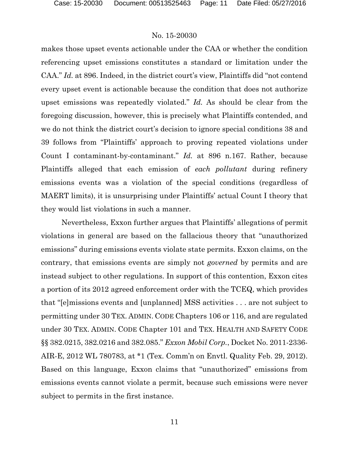makes those upset events actionable under the CAA or whether the condition referencing upset emissions constitutes a standard or limitation under the CAA." *Id.* at 896. Indeed, in the district court's view, Plaintiffs did "not contend every upset event is actionable because the condition that does not authorize upset emissions was repeatedly violated." *Id.* As should be clear from the foregoing discussion, however, this is precisely what Plaintiffs contended, and we do not think the district court's decision to ignore special conditions 38 and 39 follows from "Plaintiffs' approach to proving repeated violations under Count I contaminant-by-contaminant." *Id.* at 896 n.167. Rather, because Plaintiffs alleged that each emission of *each pollutant* during refinery emissions events was a violation of the special conditions (regardless of MAERT limits), it is unsurprising under Plaintiffs' actual Count I theory that they would list violations in such a manner.

Nevertheless, Exxon further argues that Plaintiffs' allegations of permit violations in general are based on the fallacious theory that "unauthorized emissions" during emissions events violate state permits. Exxon claims, on the contrary, that emissions events are simply not *governed* by permits and are instead subject to other regulations. In support of this contention, Exxon cites a portion of its 2012 agreed enforcement order with the TCEQ, which provides that "[e]missions events and [unplanned] MSS activities . . . are not subject to permitting under 30 TEX. ADMIN. CODE Chapters 106 or 116, and are regulated under 30 TEX. ADMIN. CODE Chapter 101 and TEX. HEALTH AND SAFETY CODE §§ 382.0215, 382.0216 and 382.085." *Exxon Mobil Corp.*, Docket No. 2011-2336- AIR-E, 2012 WL 780783, at \*1 (Tex. Comm'n on Envtl. Quality Feb. 29, 2012). Based on this language, Exxon claims that "unauthorized" emissions from emissions events cannot violate a permit, because such emissions were never subject to permits in the first instance.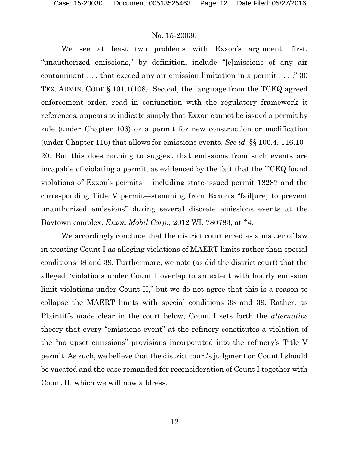We see at least two problems with Exxon's argument: first, "unauthorized emissions," by definition, include "[e]missions of any air contaminant . . . that exceed any air emission limitation in a permit . . . ." 30 TEX. ADMIN. CODE § 101.1(108). Second, the language from the TCEQ agreed enforcement order, read in conjunction with the regulatory framework it references, appears to indicate simply that Exxon cannot be issued a permit by rule (under Chapter 106) or a permit for new construction or modification (under Chapter 116) that allows for emissions events. *See id.* §§ 106.4, 116.10– 20. But this does nothing to suggest that emissions from such events are incapable of violating a permit, as evidenced by the fact that the TCEQ found violations of Exxon's permits— including state-issued permit 18287 and the corresponding Title V permit—stemming from Exxon's "fail[ure] to prevent unauthorized emissions" during several discrete emissions events at the Baytown complex. *Exxon Mobil Corp.*, 2012 WL 780783, at \*4.

We accordingly conclude that the district court erred as a matter of law in treating Count I as alleging violations of MAERT limits rather than special conditions 38 and 39. Furthermore, we note (as did the district court) that the alleged "violations under Count I overlap to an extent with hourly emission limit violations under Count II," but we do not agree that this is a reason to collapse the MAERT limits with special conditions 38 and 39. Rather, as Plaintiffs made clear in the court below, Count I sets forth the *alternative*  theory that every "emissions event" at the refinery constitutes a violation of the "no upset emissions" provisions incorporated into the refinery's Title V permit. As such, we believe that the district court's judgment on Count I should be vacated and the case remanded for reconsideration of Count I together with Count II, which we will now address.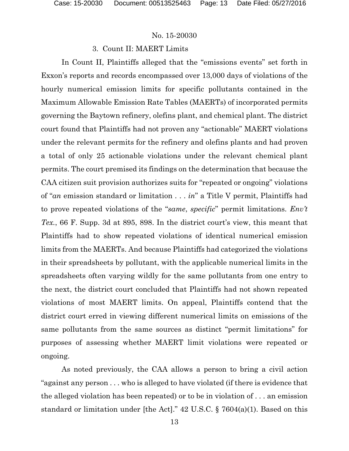## 3. Count II: MAERT Limits

In Count II, Plaintiffs alleged that the "emissions events" set forth in Exxon's reports and records encompassed over 13,000 days of violations of the hourly numerical emission limits for specific pollutants contained in the Maximum Allowable Emission Rate Tables (MAERTs) of incorporated permits governing the Baytown refinery, olefins plant, and chemical plant. The district court found that Plaintiffs had not proven any "actionable" MAERT violations under the relevant permits for the refinery and olefins plants and had proven a total of only 25 actionable violations under the relevant chemical plant permits. The court premised its findings on the determination that because the CAA citizen suit provision authorizes suits for "repeated or ongoing" violations of "*an* emission standard or limitation . . . *in*" a Title V permit, Plaintiffs had to prove repeated violations of the "*same*, *specific*" permit limitations. *Env't Tex.*, 66 F. Supp. 3d at 895, 898. In the district court's view, this meant that Plaintiffs had to show repeated violations of identical numerical emission limits from the MAERTs. And because Plaintiffs had categorized the violations in their spreadsheets by pollutant, with the applicable numerical limits in the spreadsheets often varying wildly for the same pollutants from one entry to the next, the district court concluded that Plaintiffs had not shown repeated violations of most MAERT limits. On appeal, Plaintiffs contend that the district court erred in viewing different numerical limits on emissions of the same pollutants from the same sources as distinct "permit limitations" for purposes of assessing whether MAERT limit violations were repeated or ongoing.

As noted previously, the CAA allows a person to bring a civil action "against any person . . . who is alleged to have violated (if there is evidence that the alleged violation has been repeated) or to be in violation of . . . an emission standard or limitation under [the Act]." 42 U.S.C. § 7604(a)(1). Based on this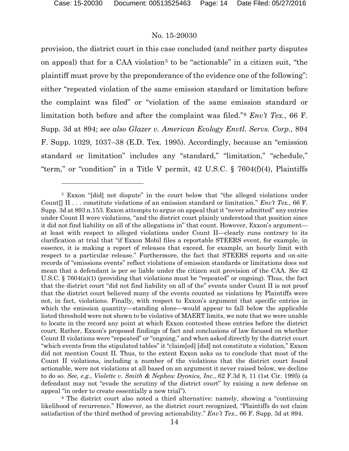## No. 15-20030

provision, the district court in this case concluded (and neither party disputes on appeal) that for a CAA violation<sup>[5](#page-13-0)</sup> to be "actionable" in a citizen suit, "the plaintiff must prove by the preponderance of the evidence one of the following": either "repeated violation of the same emission standard or limitation before the complaint was filed" or "violation of the same emission standard or limitation both before and after the complaint was filed."[6](#page-13-1) *Env't Tex.*, 66 F. Supp. 3d at 894; *see also Glazer v. American Ecology Envtl. Servs. Corp.*, 894 F. Supp. 1029, 1037–38 (E.D. Tex. 1995). Accordingly, because an "emission standard or limitation" includes any "standard," "limitation," "schedule," "term," or "condition" in a Title V permit, 42 U.S.C. § 7604(f)(4), Plaintiffs

<span id="page-13-0"></span><sup>5</sup> Exxon "[did] not dispute" in the court below that "the alleged violations under Count[] II . . . constitute violations of an emission standard or limitation." *Env't Tex.*, 66 F. Supp. 3d at 893 n.153. Exxon attempts to argue on appeal that it "never admitted" any entries under Count II were violations, "and the district court plainly understood that position since it did not find liability on all of the allegations in" that count. However, Exxon's argument at least with respect to alleged violations under Count II—clearly runs contrary to its clarification at trial that "if Exxon Mobil files a reportable STEERS event, for example, in essence, it is making a report of releases that exceed, for example, an hourly limit with respect to a particular release." Furthermore, the fact that STEERS reports and on-site records of "emissions events" reflect violations of emission standards or limitations does *not*  mean that a defendant is per se liable under the citizen suit provision of the CAA. *See* 42 U.S.C. § 7604(a)(1) (providing that violations must be "repeated" or ongoing). Thus, the fact that the district court "did not find liability on all of the" events under Count II is not proof that the district court believed many of the events counted as violations by Plaintiffs were not, in fact, violations. Finally, with respect to Exxon's argument that specific entries in which the emission quantity—standing alone—would appear to fall below the applicable listed threshold were not shown to be violative of MAERT limits, we note that we were unable to locate in the record any point at which Exxon contested these entries before the district court. Rather, Exxon's proposed findings of fact and conclusions of law focused on whether Count II violations were "repeated" or "ongoing," and when asked directly by the district court "which events from the stipulated tables" it "claim[ed] [did] not constitute a violation," Exxon did not mention Count II. Thus, to the extent Exxon asks us to conclude that most of the Count II violations, including a number of the violations that the district court found actionable, were not violations at all based on an argument it never raised below, we decline to do so. *See, e.g.*, *Violette v. Smith & Nephew Dyonics, Inc.*, 62 F.3d 8, 11 (1st Cir. 1995) (a defendant may not "evade the scrutiny of the district court" by raising a new defense on appeal "in order to create essentially a new trial").

<span id="page-13-1"></span><sup>6</sup> The district court also noted a third alternative: namely, showing a "continuing likelihood of recurrence." However, as the district court recognized, "Plaintiffs do not claim satisfaction of the third method of proving actionability." *Env't Tex.*, 66 F. Supp. 3d at 894.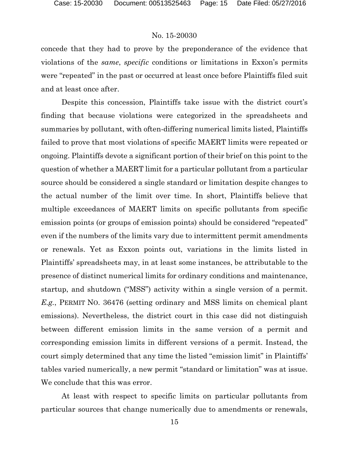concede that they had to prove by the preponderance of the evidence that violations of the *same*, *specific* conditions or limitations in Exxon's permits were "repeated" in the past or occurred at least once before Plaintiffs filed suit and at least once after.

Despite this concession, Plaintiffs take issue with the district court's finding that because violations were categorized in the spreadsheets and summaries by pollutant, with often-differing numerical limits listed, Plaintiffs failed to prove that most violations of specific MAERT limits were repeated or ongoing. Plaintiffs devote a significant portion of their brief on this point to the question of whether a MAERT limit for a particular pollutant from a particular source should be considered a single standard or limitation despite changes to the actual number of the limit over time. In short, Plaintiffs believe that multiple exceedances of MAERT limits on specific pollutants from specific emission points (or groups of emission points) should be considered "repeated" even if the numbers of the limits vary due to intermittent permit amendments or renewals. Yet as Exxon points out, variations in the limits listed in Plaintiffs' spreadsheets may, in at least some instances, be attributable to the presence of distinct numerical limits for ordinary conditions and maintenance, startup, and shutdown ("MSS") activity within a single version of a permit. *E.g.*, PERMIT NO. 36476 (setting ordinary and MSS limits on chemical plant emissions). Nevertheless, the district court in this case did not distinguish between different emission limits in the same version of a permit and corresponding emission limits in different versions of a permit. Instead, the court simply determined that any time the listed "emission limit" in Plaintiffs' tables varied numerically, a new permit "standard or limitation" was at issue. We conclude that this was error.

At least with respect to specific limits on particular pollutants from particular sources that change numerically due to amendments or renewals,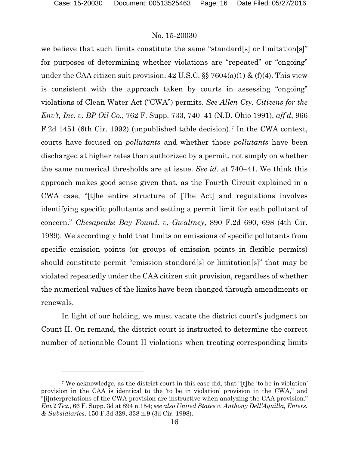l

## No. 15-20030

we believe that such limits constitute the same "standard[s] or limitation[s]" for purposes of determining whether violations are "repeated" or "ongoing" under the CAA citizen suit provision.  $42 \text{ U.S.C. }$ §§  $7604(a)(1) \& (f)(4)$ . This view is consistent with the approach taken by courts in assessing "ongoing" violations of Clean Water Act ("CWA") permits. *See Allen Cty. Citizens for the Env't, Inc. v. BP Oil Co.*, 762 F. Supp. 733, 740–41 (N.D. Ohio 1991), *aff'd*, 966 F.2d 1451 (6th Cir. 1992) (unpublished table decision).<sup>[7](#page-15-0)</sup> In the CWA context, courts have focused on *pollutants* and whether those *pollutants* have been discharged at higher rates than authorized by a permit, not simply on whether the same numerical thresholds are at issue. *See id.* at 740–41. We think this approach makes good sense given that, as the Fourth Circuit explained in a CWA case, "[t]he entire structure of [The Act] and regulations involves identifying specific pollutants and setting a permit limit for each pollutant of concern." *Chesapeake Bay Found. v. Gwaltney*, 890 F.2d 690, 698 (4th Cir. 1989). We accordingly hold that limits on emissions of specific pollutants from specific emission points (or groups of emission points in flexible permits) should constitute permit "emission standard[s] or limitation[s]" that may be violated repeatedly under the CAA citizen suit provision, regardless of whether the numerical values of the limits have been changed through amendments or renewals.

In light of our holding, we must vacate the district court's judgment on Count II. On remand, the district court is instructed to determine the correct number of actionable Count II violations when treating corresponding limits

<span id="page-15-0"></span><sup>7</sup> We acknowledge, as the district court in this case did, that "[t]he 'to be in violation' provision in the CAA is identical to the 'to be in violation' provision in the CWA," and "[i]nterpretations of the CWA provision are instructive when analyzing the CAA provision." *Env't Tex.*, 66 F. Supp. 3d at 894 n.154; *see also United States v. Anthony Dell'Aquilla, Enters. & Subsidiaries*, 150 F.3d 329, 338 n.9 (3d Cir. 1998).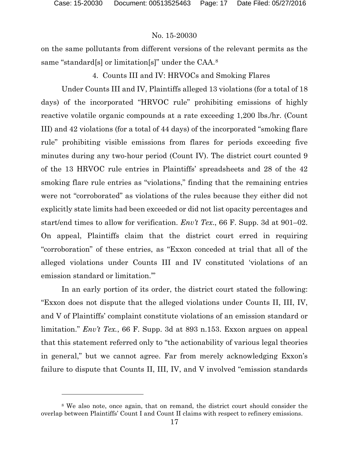l

## No. 15-20030

on the same pollutants from different versions of the relevant permits as the same "standard[s] or limitation[s]" under the CAA.[8](#page-16-0)

## 4. Counts III and IV: HRVOCs and Smoking Flares

Under Counts III and IV, Plaintiffs alleged 13 violations (for a total of 18 days) of the incorporated "HRVOC rule" prohibiting emissions of highly reactive volatile organic compounds at a rate exceeding 1,200 lbs./hr. (Count III) and 42 violations (for a total of 44 days) of the incorporated "smoking flare rule" prohibiting visible emissions from flares for periods exceeding five minutes during any two-hour period (Count IV). The district court counted 9 of the 13 HRVOC rule entries in Plaintiffs' spreadsheets and 28 of the 42 smoking flare rule entries as "violations," finding that the remaining entries were not "corroborated" as violations of the rules because they either did not explicitly state limits had been exceeded or did not list opacity percentages and start/end times to allow for verification. *Env't Tex*., 66 F. Supp. 3d at 901–02. On appeal, Plaintiffs claim that the district court erred in requiring "corroboration" of these entries, as "Exxon conceded at trial that all of the alleged violations under Counts III and IV constituted 'violations of an emission standard or limitation.'"

In an early portion of its order, the district court stated the following: "Exxon does not dispute that the alleged violations under Counts II, III, IV, and V of Plaintiffs' complaint constitute violations of an emission standard or limitation." *Env't Tex.*, 66 F. Supp. 3d at 893 n.153. Exxon argues on appeal that this statement referred only to "the actionability of various legal theories in general," but we cannot agree. Far from merely acknowledging Exxon's failure to dispute that Counts II, III, IV, and V involved "emission standards

<span id="page-16-0"></span><sup>8</sup> We also note, once again, that on remand, the district court should consider the overlap between Plaintiffs' Count I and Count II claims with respect to refinery emissions.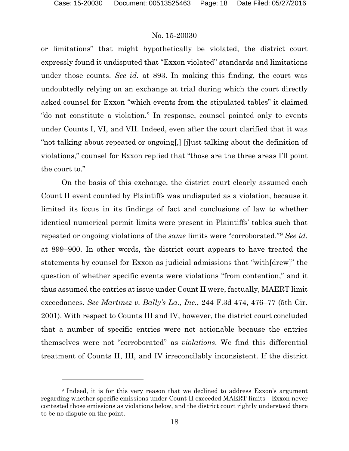## No. 15-20030

or limitations" that might hypothetically be violated, the district court expressly found it undisputed that "Exxon violated" standards and limitations under those counts. *See id.* at 893. In making this finding, the court was undoubtedly relying on an exchange at trial during which the court directly asked counsel for Exxon "which events from the stipulated tables" it claimed "do not constitute a violation." In response, counsel pointed only to events under Counts I, VI, and VII. Indeed, even after the court clarified that it was "not talking about repeated or ongoing[,] [j]ust talking about the definition of violations," counsel for Exxon replied that "those are the three areas I'll point the court to."

On the basis of this exchange, the district court clearly assumed each Count II event counted by Plaintiffs was undisputed as a violation, because it limited its focus in its findings of fact and conclusions of law to whether identical numerical permit limits were present in Plaintiffs' tables such that repeated or ongoing violations of the *same* limits were "corroborated."[9](#page-17-0) *See id.*  at 899–900. In other words, the district court appears to have treated the statements by counsel for Exxon as judicial admissions that "with[drew]" the question of whether specific events were violations "from contention," and it thus assumed the entries at issue under Count II were, factually, MAERT limit exceedances. *See Martinez v. Bally's La., Inc.*, 244 F.3d 474, 476–77 (5th Cir. 2001). With respect to Counts III and IV, however, the district court concluded that a number of specific entries were not actionable because the entries themselves were not "corroborated" as *violations*. We find this differential treatment of Counts II, III, and IV irreconcilably inconsistent. If the district

<span id="page-17-0"></span><sup>&</sup>lt;sup>9</sup> Indeed, it is for this very reason that we declined to address Exxon's argument regarding whether specific emissions under Count II exceeded MAERT limits—Exxon never contested those emissions as violations below, and the district court rightly understood there to be no dispute on the point.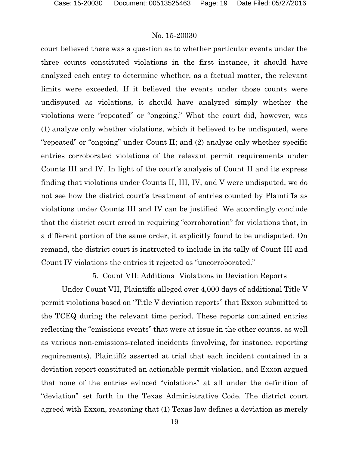court believed there was a question as to whether particular events under the three counts constituted violations in the first instance, it should have analyzed each entry to determine whether, as a factual matter, the relevant limits were exceeded. If it believed the events under those counts were undisputed as violations, it should have analyzed simply whether the violations were "repeated" or "ongoing." What the court did, however, was (1) analyze only whether violations, which it believed to be undisputed, were "repeated" or "ongoing" under Count II; and (2) analyze only whether specific entries corroborated violations of the relevant permit requirements under Counts III and IV. In light of the court's analysis of Count II and its express finding that violations under Counts II, III, IV, and V were undisputed, we do not see how the district court's treatment of entries counted by Plaintiffs as violations under Counts III and IV can be justified. We accordingly conclude that the district court erred in requiring "corroboration" for violations that, in a different portion of the same order, it explicitly found to be undisputed. On remand, the district court is instructed to include in its tally of Count III and Count IV violations the entries it rejected as "uncorroborated."

5. Count VII: Additional Violations in Deviation Reports

Under Count VII, Plaintiffs alleged over 4,000 days of additional Title V permit violations based on "Title V deviation reports" that Exxon submitted to the TCEQ during the relevant time period. These reports contained entries reflecting the "emissions events" that were at issue in the other counts, as well as various non-emissions-related incidents (involving, for instance, reporting requirements). Plaintiffs asserted at trial that each incident contained in a deviation report constituted an actionable permit violation, and Exxon argued that none of the entries evinced "violations" at all under the definition of "deviation" set forth in the Texas Administrative Code. The district court agreed with Exxon, reasoning that (1) Texas law defines a deviation as merely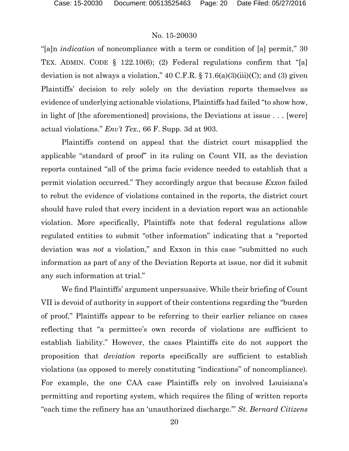"[a]n *indication* of noncompliance with a term or condition of [a] permit," 30 TEX. ADMIN. CODE § 122.10(6); (2) Federal regulations confirm that "[a] deviation is not always a violation,"  $40 \text{ C.F.R.}$  §  $71.6(a)(3)(iii)(C)$ ; and (3) given Plaintiffs' decision to rely solely on the deviation reports themselves as evidence of underlying actionable violations, Plaintiffs had failed "to show how, in light of [the aforementioned] provisions, the Deviations at issue . . . [were] actual violations." *Env't Tex.*, 66 F. Supp. 3d at 903.

Plaintiffs contend on appeal that the district court misapplied the applicable "standard of proof" in its ruling on Count VII, as the deviation reports contained "all of the prima facie evidence needed to establish that a permit violation occurred." They accordingly argue that because *Exxon* failed to rebut the evidence of violations contained in the reports, the district court should have ruled that every incident in a deviation report was an actionable violation. More specifically, Plaintiffs note that federal regulations allow regulated entities to submit "other information" indicating that a "reported deviation was *not* a violation," and Exxon in this case "submitted no such information as part of any of the Deviation Reports at issue, nor did it submit any such information at trial."

We find Plaintiffs' argument unpersuasive. While their briefing of Count VII is devoid of authority in support of their contentions regarding the "burden of proof," Plaintiffs appear to be referring to their earlier reliance on cases reflecting that "a permittee's own records of violations are sufficient to establish liability." However, the cases Plaintiffs cite do not support the proposition that *deviation* reports specifically are sufficient to establish violations (as opposed to merely constituting "indications" of noncompliance). For example, the one CAA case Plaintiffs rely on involved Louisiana's permitting and reporting system, which requires the filing of written reports "each time the refinery has an 'unauthorized discharge.'" *St. Bernard Citizens*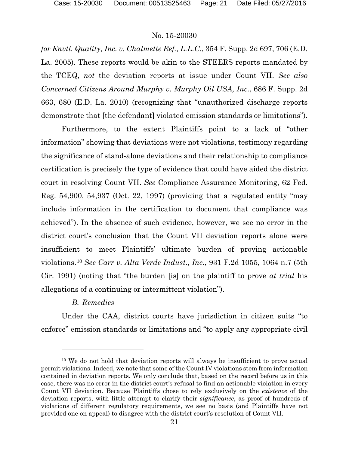*for Envtl. Quality, Inc. v. Chalmette Ref., L.L.C.*, 354 F. Supp. 2d 697, 706 (E.D. La. 2005). These reports would be akin to the STEERS reports mandated by the TCEQ, *not* the deviation reports at issue under Count VII. *See also Concerned Citizens Around Murphy v. Murphy Oil USA, Inc.*, 686 F. Supp. 2d 663, 680 (E.D. La. 2010) (recognizing that "unauthorized discharge reports demonstrate that [the defendant] violated emission standards or limitations").

Furthermore, to the extent Plaintiffs point to a lack of "other information" showing that deviations were not violations, testimony regarding the significance of stand-alone deviations and their relationship to compliance certification is precisely the type of evidence that could have aided the district court in resolving Count VII. *See* Compliance Assurance Monitoring, 62 Fed. Reg. 54,900, 54,937 (Oct. 22, 1997) (providing that a regulated entity "may include information in the certification to document that compliance was achieved"). In the absence of such evidence, however, we see no error in the district court's conclusion that the Count VII deviation reports alone were insufficient to meet Plaintiffs' ultimate burden of proving actionable violations.[10](#page-20-0) *See Carr v. Alta Verde Indust., Inc.*, 931 F.2d 1055, 1064 n.7 (5th Cir. 1991) (noting that "the burden [is] on the plaintiff to prove *at trial* his allegations of a continuing or intermittent violation").

# *B. Remedies*

 $\overline{a}$ 

Under the CAA, district courts have jurisdiction in citizen suits "to enforce" emission standards or limitations and "to apply any appropriate civil

<span id="page-20-0"></span><sup>10</sup> We do not hold that deviation reports will always be insufficient to prove actual permit violations. Indeed, we note that some of the Count IV violations stem from information contained in deviation reports. We only conclude that, based on the record before us in this case, there was no error in the district court's refusal to find an actionable violation in every Count VII deviation. Because Plaintiffs chose to rely exclusively on the *existence* of the deviation reports, with little attempt to clarify their *significance*, as proof of hundreds of violations of different regulatory requirements, we see no basis (and Plaintiffs have not provided one on appeal) to disagree with the district court's resolution of Count VII.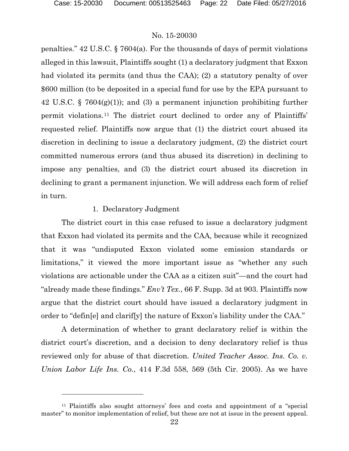l

## No. 15-20030

penalties." 42 U.S.C. § 7604(a). For the thousands of days of permit violations alleged in this lawsuit, Plaintiffs sought (1) a declaratory judgment that Exxon had violated its permits (and thus the CAA); (2) a statutory penalty of over \$600 million (to be deposited in a special fund for use by the EPA pursuant to 42 U.S.C. § 7604(g)(1)); and (3) a permanent injunction prohibiting further permit violations.[11](#page-21-0) The district court declined to order any of Plaintiffs' requested relief. Plaintiffs now argue that (1) the district court abused its discretion in declining to issue a declaratory judgment, (2) the district court committed numerous errors (and thus abused its discretion) in declining to impose any penalties, and (3) the district court abused its discretion in declining to grant a permanent injunction. We will address each form of relief in turn.

#### 1. Declaratory Judgment

The district court in this case refused to issue a declaratory judgment that Exxon had violated its permits and the CAA, because while it recognized that it was "undisputed Exxon violated some emission standards or limitations," it viewed the more important issue as "whether any such violations are actionable under the CAA as a citizen suit"—and the court had "already made these findings." *Env't Tex.*, 66 F. Supp. 3d at 903. Plaintiffs now argue that the district court should have issued a declaratory judgment in order to "defin[e] and clarif[y] the nature of Exxon's liability under the CAA."

A determination of whether to grant declaratory relief is within the district court's discretion, and a decision to deny declaratory relief is thus reviewed only for abuse of that discretion. *United Teacher Assoc. Ins. Co. v. Union Labor Life Ins. Co.*, 414 F.3d 558, 569 (5th Cir. 2005). As we have

<span id="page-21-0"></span><sup>11</sup> Plaintiffs also sought attorneys' fees and costs and appointment of a "special master" to monitor implementation of relief, but these are not at issue in the present appeal.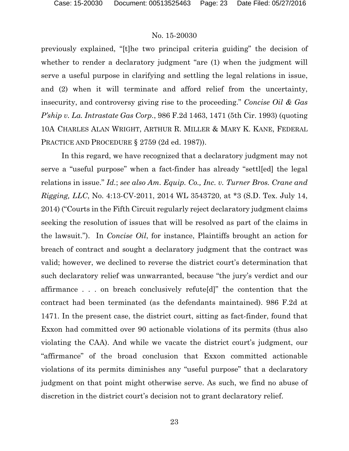previously explained, "[t]he two principal criteria guiding" the decision of whether to render a declaratory judgment "are  $(1)$  when the judgment will serve a useful purpose in clarifying and settling the legal relations in issue, and (2) when it will terminate and afford relief from the uncertainty, insecurity, and controversy giving rise to the proceeding." *Concise Oil & Gas P'ship v. La. Intrastate Gas Corp.*, 986 F.2d 1463, 1471 (5th Cir. 1993) (quoting 10A CHARLES ALAN WRIGHT, ARTHUR R. MILLER & MARY K. KANE, FEDERAL PRACTICE AND PROCEDURE § 2759 (2d ed. 1987)).

In this regard, we have recognized that a declaratory judgment may not serve a "useful purpose" when a fact-finder has already "settl[ed] the legal relations in issue." *Id.*; *see also Am. Equip. Co., Inc. v. Turner Bros. Crane and Rigging, LLC*, No. 4:13-CV-2011, 2014 WL 3543720, at \*3 (S.D. Tex. July 14, 2014) ("Courts in the Fifth Circuit regularly reject declaratory judgment claims seeking the resolution of issues that will be resolved as part of the claims in the lawsuit."). In *Concise Oil*, for instance, Plaintiffs brought an action for breach of contract and sought a declaratory judgment that the contract was valid; however, we declined to reverse the district court's determination that such declaratory relief was unwarranted, because "the jury's verdict and our affirmance . . . on breach conclusively refute[d]" the contention that the contract had been terminated (as the defendants maintained). 986 F.2d at 1471. In the present case, the district court, sitting as fact-finder, found that Exxon had committed over 90 actionable violations of its permits (thus also violating the CAA). And while we vacate the district court's judgment, our "affirmance" of the broad conclusion that Exxon committed actionable violations of its permits diminishes any "useful purpose" that a declaratory judgment on that point might otherwise serve. As such, we find no abuse of discretion in the district court's decision not to grant declaratory relief.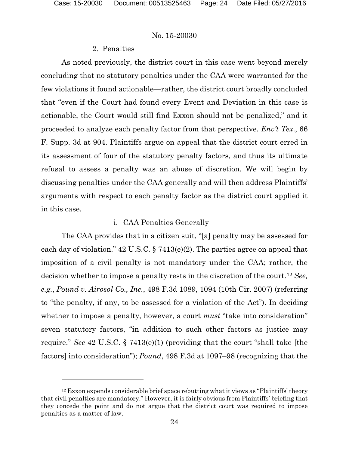## No. 15-20030

### 2. Penalties

As noted previously, the district court in this case went beyond merely concluding that no statutory penalties under the CAA were warranted for the few violations it found actionable—rather, the district court broadly concluded that "even if the Court had found every Event and Deviation in this case is actionable, the Court would still find Exxon should not be penalized," and it proceeded to analyze each penalty factor from that perspective. *Env't Tex*., 66 F. Supp. 3d at 904. Plaintiffs argue on appeal that the district court erred in its assessment of four of the statutory penalty factors, and thus its ultimate refusal to assess a penalty was an abuse of discretion. We will begin by discussing penalties under the CAA generally and will then address Plaintiffs' arguments with respect to each penalty factor as the district court applied it in this case.

## i. CAA Penalties Generally

The CAA provides that in a citizen suit, "[a] penalty may be assessed for each day of violation." 42 U.S.C. § 7413(e)(2). The parties agree on appeal that imposition of a civil penalty is not mandatory under the CAA; rather, the decision whether to impose a penalty rests in the discretion of the court.[12](#page-23-0) *See, e.g.*, *Pound v. Airosol Co., Inc.*, 498 F.3d 1089, 1094 (10th Cir. 2007) (referring to "the penalty, if any, to be assessed for a violation of the Act"). In deciding whether to impose a penalty, however, a court *must* "take into consideration" seven statutory factors, "in addition to such other factors as justice may require." *See* 42 U.S.C. § 7413(e)(1) (providing that the court "shall take [the factors] into consideration"); *Pound*, 498 F.3d at 1097–98 (recognizing that the

<span id="page-23-0"></span> $12$  Exxon expends considerable brief space rebutting what it views as "Plaintiffs' theory that civil penalties are mandatory." However, it is fairly obvious from Plaintiffs' briefing that they concede the point and do not argue that the district court was required to impose penalties as a matter of law.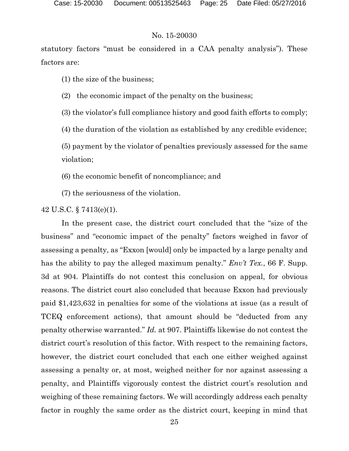statutory factors "must be considered in a CAA penalty analysis"). These factors are:

(1) the size of the business;

(2) the economic impact of the penalty on the business;

(3) the violator's full compliance history and good faith efforts to comply;

(4) the duration of the violation as established by any credible evidence;

(5) payment by the violator of penalties previously assessed for the same violation;

(6) the economic benefit of noncompliance; and

(7) the seriousness of the violation.

42 U.S.C. § 7413(e)(1).

In the present case, the district court concluded that the "size of the business" and "economic impact of the penalty" factors weighed in favor of assessing a penalty, as "Exxon [would] only be impacted by a large penalty and has the ability to pay the alleged maximum penalty." *Env't Tex.*, 66 F. Supp. 3d at 904. Plaintiffs do not contest this conclusion on appeal, for obvious reasons. The district court also concluded that because Exxon had previously paid \$1,423,632 in penalties for some of the violations at issue (as a result of TCEQ enforcement actions), that amount should be "deducted from any penalty otherwise warranted." *Id.* at 907. Plaintiffs likewise do not contest the district court's resolution of this factor. With respect to the remaining factors, however, the district court concluded that each one either weighed against assessing a penalty or, at most, weighed neither for nor against assessing a penalty, and Plaintiffs vigorously contest the district court's resolution and weighing of these remaining factors. We will accordingly address each penalty factor in roughly the same order as the district court, keeping in mind that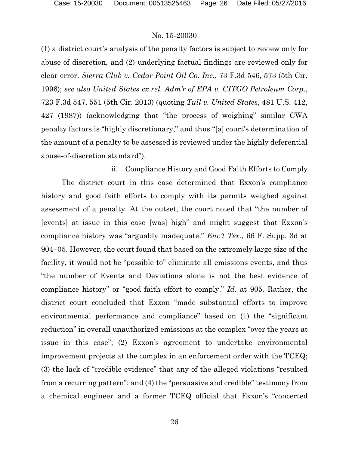(1) a district court's analysis of the penalty factors is subject to review only for abuse of discretion, and (2) underlying factual findings are reviewed only for clear error. *Sierra Club v. Cedar Point Oil Co. Inc.*, 73 F.3d 546, 573 (5th Cir. 1996); *see also United States ex rel. Adm'r of EPA v. CITGO Petroleum Corp.*, 723 F.3d 547, 551 (5th Cir. 2013) (quoting *Tull v. United States*, 481 U.S. 412, 427 (1987)) (acknowledging that "the process of weighing" similar CWA penalty factors is "highly discretionary," and thus "[a] court's determination of the amount of a penalty to be assessed is reviewed under the highly deferential abuse-of-discretion standard").

ii. Compliance History and Good Faith Efforts to Comply The district court in this case determined that Exxon's compliance history and good faith efforts to comply with its permits weighed against assessment of a penalty. At the outset, the court noted that "the number of [events] at issue in this case [was] high" and might suggest that Exxon's compliance history was "arguably inadequate." *Env't Tex.*, 66 F. Supp. 3d at 904–05. However, the court found that based on the extremely large size of the facility, it would not be "possible to" eliminate all emissions events, and thus "the number of Events and Deviations alone is not the best evidence of compliance history" or "good faith effort to comply." *Id.* at 905. Rather, the district court concluded that Exxon "made substantial efforts to improve environmental performance and compliance" based on (1) the "significant reduction" in overall unauthorized emissions at the complex "over the years at issue in this case"; (2) Exxon's agreement to undertake environmental improvement projects at the complex in an enforcement order with the TCEQ; (3) the lack of "credible evidence" that any of the alleged violations "resulted from a recurring pattern"; and (4) the "persuasive and credible" testimony from a chemical engineer and a former TCEQ official that Exxon's "concerted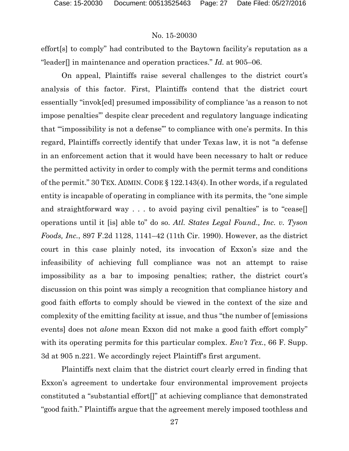effort[s] to comply" had contributed to the Baytown facility's reputation as a "leader[] in maintenance and operation practices." *Id.* at 905–06.

On appeal, Plaintiffs raise several challenges to the district court's analysis of this factor. First, Plaintiffs contend that the district court essentially "invok[ed] presumed impossibility of compliance 'as a reason to not impose penalties'" despite clear precedent and regulatory language indicating that "'impossibility is not a defense'" to compliance with one's permits. In this regard, Plaintiffs correctly identify that under Texas law, it is not "a defense in an enforcement action that it would have been necessary to halt or reduce the permitted activity in order to comply with the permit terms and conditions of the permit." 30 TEX. ADMIN. CODE § 122.143(4). In other words, if a regulated entity is incapable of operating in compliance with its permits, the "one simple and straightforward way . . . to avoid paying civil penalties" is to "cease[] operations until it [is] able to" do so. *Atl. States Legal Found., Inc. v. Tyson Foods, Inc.*, 897 F.2d 1128, 1141–42 (11th Cir. 1990). However, as the district court in this case plainly noted, its invocation of Exxon's size and the infeasibility of achieving full compliance was not an attempt to raise impossibility as a bar to imposing penalties; rather, the district court's discussion on this point was simply a recognition that compliance history and good faith efforts to comply should be viewed in the context of the size and complexity of the emitting facility at issue, and thus "the number of [emissions events] does not *alone* mean Exxon did not make a good faith effort comply" with its operating permits for this particular complex. *Env't Tex.*, 66 F. Supp. 3d at 905 n.221. We accordingly reject Plaintiff's first argument.

Plaintiffs next claim that the district court clearly erred in finding that Exxon's agreement to undertake four environmental improvement projects constituted a "substantial effort[]" at achieving compliance that demonstrated "good faith." Plaintiffs argue that the agreement merely imposed toothless and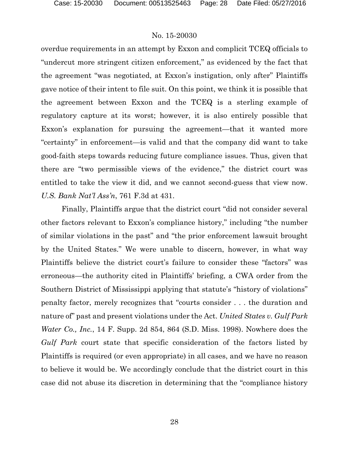overdue requirements in an attempt by Exxon and complicit TCEQ officials to "undercut more stringent citizen enforcement," as evidenced by the fact that the agreement "was negotiated, at Exxon's instigation, only after" Plaintiffs gave notice of their intent to file suit. On this point, we think it is possible that the agreement between Exxon and the TCEQ is a sterling example of regulatory capture at its worst; however, it is also entirely possible that Exxon's explanation for pursuing the agreement—that it wanted more "certainty" in enforcement—is valid and that the company did want to take good-faith steps towards reducing future compliance issues. Thus, given that there are "two permissible views of the evidence," the district court was entitled to take the view it did, and we cannot second-guess that view now. *U.S. Bank Nat'l Ass'n*, 761 F.3d at 431.

Finally, Plaintiffs argue that the district court "did not consider several other factors relevant to Exxon's compliance history," including "the number of similar violations in the past" and "the prior enforcement lawsuit brought by the United States." We were unable to discern, however, in what way Plaintiffs believe the district court's failure to consider these "factors" was erroneous—the authority cited in Plaintiffs' briefing, a CWA order from the Southern District of Mississippi applying that statute's "history of violations" penalty factor, merely recognizes that "courts consider . . . the duration and nature of" past and present violations under the Act. *United States v. Gulf Park Water Co., Inc.*, 14 F. Supp. 2d 854, 864 (S.D. Miss. 1998). Nowhere does the *Gulf Park* court state that specific consideration of the factors listed by Plaintiffs is required (or even appropriate) in all cases, and we have no reason to believe it would be. We accordingly conclude that the district court in this case did not abuse its discretion in determining that the "compliance history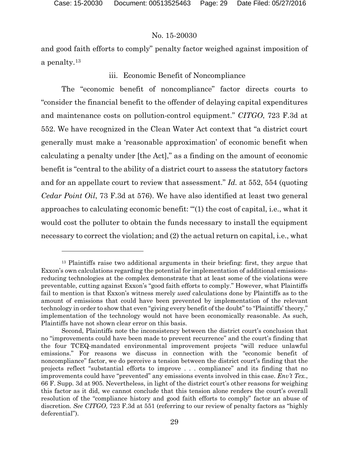## No. 15-20030

and good faith efforts to comply" penalty factor weighed against imposition of a penalty.[13](#page-28-0)

## iii. Economic Benefit of Noncompliance

The "economic benefit of noncompliance" factor directs courts to "consider the financial benefit to the offender of delaying capital expenditures and maintenance costs on pollution-control equipment." *CITGO*, 723 F.3d at 552. We have recognized in the Clean Water Act context that "a district court generally must make a 'reasonable approximation' of economic benefit when calculating a penalty under [the Act]," as a finding on the amount of economic benefit is "central to the ability of a district court to assess the statutory factors and for an appellate court to review that assessment." *Id.* at 552, 554 (quoting *Cedar Point Oil*, 73 F.3d at 576). We have also identified at least two general approaches to calculating economic benefit: "'(1) the cost of capital, i.e., what it would cost the polluter to obtain the funds necessary to install the equipment necessary to correct the violation; and (2) the actual return on capital, i.e., what

<span id="page-28-0"></span><sup>&</sup>lt;sup>13</sup> Plaintiffs raise two additional arguments in their briefing: first, they argue that Exxon's own calculations regarding the potential for implementation of additional emissionsreducing technologies at the complex demonstrate that at least some of the violations were preventable, cutting against Exxon's "good faith efforts to comply." However, what Plaintiffs fail to mention is that Exxon's witness merely *used* calculations done by Plaintiffs as to the amount of emissions that could have been prevented by implementation of the relevant technology in order to show that even "giving every benefit of the doubt" to "Plaintiffs' theory," implementation of the technology would not have been economically reasonable. As such, Plaintiffs have not shown clear error on this basis.

Second, Plaintiffs note the inconsistency between the district court's conclusion that no "improvements could have been made to prevent recurrence" and the court's finding that the four TCEQ-mandated environmental improvement projects "will reduce unlawful emissions." For reasons we discuss in connection with the "economic benefit of noncompliance" factor, we do perceive a tension between the district court's finding that the projects reflect "substantial efforts to improve . . . compliance" and its finding that no improvements could have "prevented" any emissions events involved in this case. *Env't Tex.*, 66 F. Supp. 3d at 905. Nevertheless, in light of the district court's other reasons for weighing this factor as it did, we cannot conclude that this tension alone renders the court's overall resolution of the "compliance history and good faith efforts to comply" factor an abuse of discretion. *See CITGO*, 723 F.3d at 551 (referring to our review of penalty factors as "highly deferential").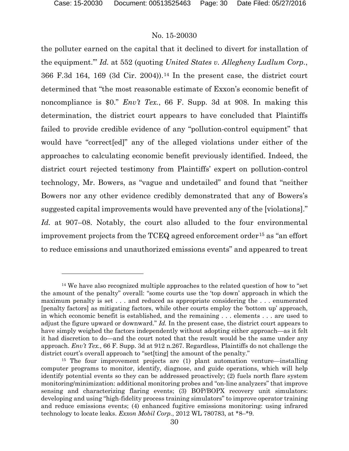## No. 15-20030

the polluter earned on the capital that it declined to divert for installation of the equipment.'" *Id.* at 552 (quoting *United States v. Allegheny Ludlum Corp.*, 366 F.3d 164, 169 (3d Cir. 2004)).[14](#page-29-0) In the present case, the district court determined that "the most reasonable estimate of Exxon's economic benefit of noncompliance is \$0." *Env't Tex.*, 66 F. Supp. 3d at 908. In making this determination, the district court appears to have concluded that Plaintiffs failed to provide credible evidence of any "pollution-control equipment" that would have "correct[ed]" any of the alleged violations under either of the approaches to calculating economic benefit previously identified. Indeed, the district court rejected testimony from Plaintiffs' expert on pollution-control technology, Mr. Bowers, as "vague and undetailed" and found that "neither Bowers nor any other evidence credibly demonstrated that any of Bowers's suggested capital improvements would have prevented any of the [violations]." *Id.* at 907–08. Notably, the court also alluded to the four environmental improvement projects from the TCEQ agreed enforcement order<sup>[15](#page-29-1)</sup> as "an effort to reduce emissions and unauthorized emissions events" and appeared to treat

<span id="page-29-0"></span><sup>&</sup>lt;sup>14</sup> We have also recognized multiple approaches to the related question of how to "set" the amount of the penalty" overall: "some courts use the 'top down' approach in which the maximum penalty is set . . . and reduced as appropriate considering the . . . enumerated [penalty factors] as mitigating factors, while other courts employ the 'bottom up' approach, in which economic benefit is established, and the remaining . . . elements . . . are used to adjust the figure upward or downward." *Id.* In the present case, the district court appears to have simply weighed the factors independently without adopting either approach—as it felt it had discretion to do—and the court noted that the result would be the same under any approach. *Env't Tex.*, 66 F. Supp. 3d at 912 n.267. Regardless, Plaintiffs do not challenge the district court's overall approach to "set[ting] the amount of the penalty."

<span id="page-29-1"></span><sup>&</sup>lt;sup>15</sup> The four improvement projects are (1) plant automation venture—installing computer programs to monitor, identify, diagnose, and guide operations, which will help identify potential events so they can be addressed proactively; (2) fuels north flare system monitoring/minimization: additional monitoring probes and "on-line analyzers" that improve sensing and characterizing flaring events; (3) BOP/BOPX recovery unit simulators: developing and using "high-fidelity process training simulators" to improve operator training and reduce emissions events; (4) enhanced fugitive emissions monitoring: using infrared technology to locate leaks. *Exxon Mobil Corp.*, 2012 WL 780783, at \*8–\*9.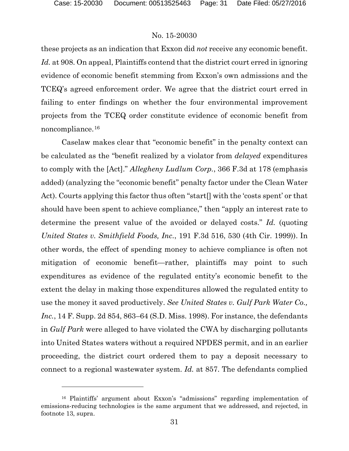## No. 15-20030

these projects as an indication that Exxon did *not* receive any economic benefit. Id. at 908. On appeal, Plaintiffs contend that the district court erred in ignoring evidence of economic benefit stemming from Exxon's own admissions and the TCEQ's agreed enforcement order. We agree that the district court erred in failing to enter findings on whether the four environmental improvement projects from the TCEQ order constitute evidence of economic benefit from noncompliance.[16](#page-30-0)

Caselaw makes clear that "economic benefit" in the penalty context can be calculated as the "benefit realized by a violator from *delayed* expenditures to comply with the [Act]." *Allegheny Ludlum Corp.*, 366 F.3d at 178 (emphasis added) (analyzing the "economic benefit" penalty factor under the Clean Water Act). Courts applying this factor thus often "start[] with the 'costs spent' or that should have been spent to achieve compliance," then "apply an interest rate to determine the present value of the avoided or delayed costs." *Id.* (quoting *United States v. Smithfield Foods, Inc.*, 191 F.3d 516, 530 (4th Cir. 1999)). In other words, the effect of spending money to achieve compliance is often not mitigation of economic benefit—rather, plaintiffs may point to such expenditures as evidence of the regulated entity's economic benefit to the extent the delay in making those expenditures allowed the regulated entity to use the money it saved productively. *See United States v. Gulf Park Water Co., Inc.*, 14 F. Supp. 2d 854, 863–64 (S.D. Miss. 1998). For instance, the defendants in *Gulf Park* were alleged to have violated the CWA by discharging pollutants into United States waters without a required NPDES permit, and in an earlier proceeding, the district court ordered them to pay a deposit necessary to connect to a regional wastewater system. *Id.* at 857. The defendants complied

<span id="page-30-0"></span><sup>16</sup> Plaintiffs' argument about Exxon's "admissions" regarding implementation of emissions-reducing technologies is the same argument that we addressed, and rejected, in footnote 13, supra.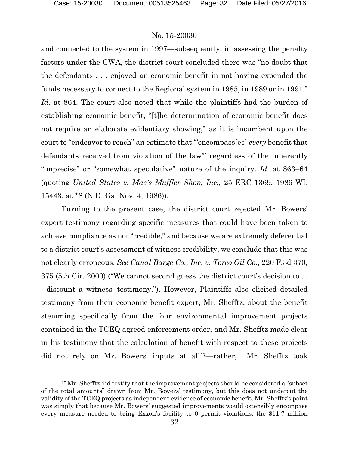l

## No. 15-20030

and connected to the system in 1997—subsequently, in assessing the penalty factors under the CWA, the district court concluded there was "no doubt that the defendants . . . enjoyed an economic benefit in not having expended the funds necessary to connect to the Regional system in 1985, in 1989 or in 1991." *Id.* at 864. The court also noted that while the plaintiffs had the burden of establishing economic benefit, "[t]he determination of economic benefit does not require an elaborate evidentiary showing," as it is incumbent upon the court to "endeavor to reach" an estimate that "'encompass[es] *every* benefit that defendants received from violation of the law'" regardless of the inherently "imprecise" or "somewhat speculative" nature of the inquiry. *Id.* at 863–64 (quoting *United States v. Mac's Muffler Shop, Inc.,* 25 ERC 1369, 1986 WL 15443, at \*8 (N.D. Ga. Nov. 4, 1986)).

Turning to the present case, the district court rejected Mr. Bowers' expert testimony regarding specific measures that could have been taken to achieve compliance as not "credible," and because we are extremely deferential to a district court's assessment of witness credibility, we conclude that this was not clearly erroneous. *See Canal Barge Co., Inc. v. Torco Oil Co.*, 220 F.3d 370, 375 (5th Cir. 2000) ("We cannot second guess the district court's decision to . . . discount a witness' testimony."). However, Plaintiffs also elicited detailed testimony from their economic benefit expert, Mr. Shefftz, about the benefit stemming specifically from the four environmental improvement projects contained in the TCEQ agreed enforcement order, and Mr. Shefftz made clear in his testimony that the calculation of benefit with respect to these projects did not rely on Mr. Bowers' inputs at all<sup>[17](#page-31-0)</sup>—rather, Mr. Shefftz took

<span id="page-31-0"></span><sup>&</sup>lt;sup>17</sup> Mr. Shefftz did testify that the improvement projects should be considered a "subset of the total amounts" drawn from Mr. Bowers' testimony, but this does not undercut the validity of the TCEQ projects as independent evidence of economic benefit. Mr. Shefftz's point was simply that because Mr. Bowers' suggested improvements would ostensibly encompass every measure needed to bring Exxon's facility to 0 permit violations, the \$11.7 million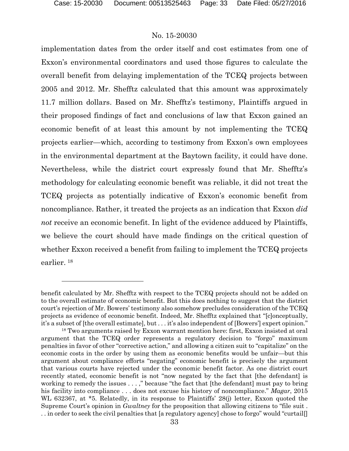l

## No. 15-20030

implementation dates from the order itself and cost estimates from one of Exxon's environmental coordinators and used those figures to calculate the overall benefit from delaying implementation of the TCEQ projects between 2005 and 2012. Mr. Shefftz calculated that this amount was approximately 11.7 million dollars. Based on Mr. Shefftz's testimony, Plaintiffs argued in their proposed findings of fact and conclusions of law that Exxon gained an economic benefit of at least this amount by not implementing the TCEQ projects earlier—which, according to testimony from Exxon's own employees in the environmental department at the Baytown facility, it could have done. Nevertheless, while the district court expressly found that Mr. Shefftz's methodology for calculating economic benefit was reliable, it did not treat the TCEQ projects as potentially indicative of Exxon's economic benefit from noncompliance. Rather, it treated the projects as an indication that Exxon *did not* receive an economic benefit. In light of the evidence adduced by Plaintiffs, we believe the court should have made findings on the critical question of whether Exxon received a benefit from failing to implement the TCEQ projects earlier. [18](#page-32-0)

benefit calculated by Mr. Shefftz with respect to the TCEQ projects should not be added on to the overall estimate of economic benefit. But this does nothing to suggest that the district court's rejection of Mr. Bowers' testimony also somehow precludes consideration of the TCEQ projects as evidence of economic benefit. Indeed, Mr. Shefftz explained that "[c]onceptually, it's a subset of [the overall estimate], but . . . it's also independent of [Bowers'] expert opinion."

<span id="page-32-0"></span><sup>&</sup>lt;sup>18</sup> Two arguments raised by Exxon warrant mention here: first, Exxon insisted at oral argument that the TCEQ order represents a regulatory decision to "forgo" maximum penalties in favor of other "corrective action," and allowing a citizen suit to "capitalize" on the economic costs in the order by using them as economic benefits would be unfair—but this argument about compliance efforts "negating" economic benefit is precisely the argument that various courts have rejected under the economic benefit factor. As one district court recently stated, economic benefit is not "now negated by the fact that [the defendant] is working to remedy the issues . . . ," because "the fact that [the defendant] must pay to bring his facility into compliance . . . does not excuse his history of noncompliance." *Magar*, 2015 WL 632367, at \*5. Relatedly, in its response to Plaintiffs' 28(j) letter, Exxon quoted the Supreme Court's opinion in *Gwaltney* for the proposition that allowing citizens to "file suit . . . in order to seek the civil penalties that [a regulatory agency] chose to forgo" would "curtail[]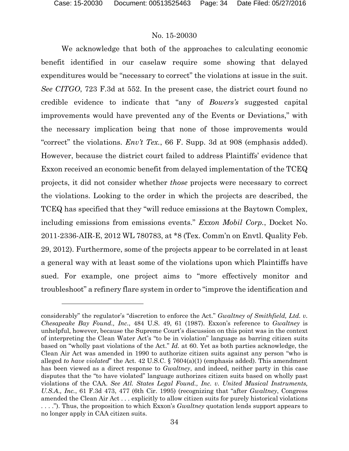## No. 15-20030

We acknowledge that both of the approaches to calculating economic benefit identified in our caselaw require some showing that delayed expenditures would be "necessary to correct" the violations at issue in the suit. *See CITGO*, 723 F.3d at 552. In the present case, the district court found no credible evidence to indicate that "any of *Bowers's* suggested capital improvements would have prevented any of the Events or Deviations," with the necessary implication being that none of those improvements would "correct" the violations. *Env't Tex.*, 66 F. Supp. 3d at 908 (emphasis added). However, because the district court failed to address Plaintiffs' evidence that Exxon received an economic benefit from delayed implementation of the TCEQ projects, it did not consider whether *those* projects were necessary to correct the violations. Looking to the order in which the projects are described, the TCEQ has specified that they "will reduce emissions at the Baytown Complex, including emissions from emissions events." *Exxon Mobil Corp.*, Docket No. 2011-2336-AIR-E, 2012 WL 780783, at \*8 (Tex. Comm'n on Envtl. Quality Feb. 29, 2012). Furthermore, some of the projects appear to be correlated in at least a general way with at least some of the violations upon which Plaintiffs have sued. For example, one project aims to "more effectively monitor and troubleshoot" a refinery flare system in order to "improve the identification and

considerably" the regulator's "discretion to enforce the Act." *Gwaltney of Smithfield, Ltd. v. Chesapeake Bay Found., Inc.*, 484 U.S. 49, 61 (1987). Exxon's reference to *Gwaltney* is unhelpful, however, because the Supreme Court's discussion on this point was in the context of interpreting the Clean Water Act's "to be in violation" language as barring citizen suits based on "wholly past violations of the Act." *Id.* at 60. Yet as both parties acknowledge, the Clean Air Act was amended in 1990 to authorize citizen suits against any person "who is alleged *to have violated*" the Act. 42 U.S.C. § 7604(a)(1) (emphasis added). This amendment has been viewed as a direct response to *Gwaltney*, and indeed, neither party in this case disputes that the "to have violated" language authorizes citizen suits based on wholly past violations of the CAA. *See Atl. States Legal Found., Inc. v. United Musical Instruments, U.S.A., Inc.*, 61 F.3d 473, 477 (6th Cir. 1995) (recognizing that "after *Gwaltney*, Congress amended the Clean Air Act . . . explicitly to allow citizen suits for purely historical violations . . . ."). Thus, the proposition to which Exxon's *Gwaltney* quotation lends support appears to no longer apply in CAA citizen suits.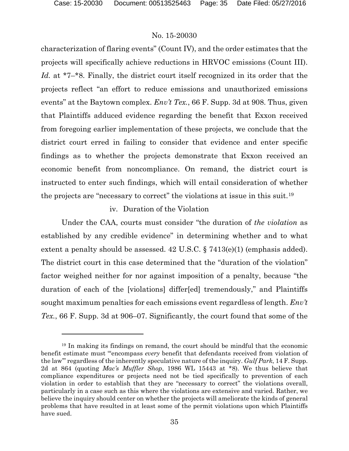## No. 15-20030

characterization of flaring events" (Count IV), and the order estimates that the projects will specifically achieve reductions in HRVOC emissions (Count III). *Id.* at \*7–\*8. Finally, the district court itself recognized in its order that the projects reflect "an effort to reduce emissions and unauthorized emissions events" at the Baytown complex. *Env't Tex.*, 66 F. Supp. 3d at 908. Thus, given that Plaintiffs adduced evidence regarding the benefit that Exxon received from foregoing earlier implementation of these projects, we conclude that the district court erred in failing to consider that evidence and enter specific findings as to whether the projects demonstrate that Exxon received an economic benefit from noncompliance. On remand, the district court is instructed to enter such findings, which will entail consideration of whether the projects are "necessary to correct" the violations at issue in this suit.[19](#page-34-0)

## iv. Duration of the Violation

Under the CAA, courts must consider "the duration of *the violation* as established by any credible evidence" in determining whether and to what extent a penalty should be assessed. 42 U.S.C. § 7413(e)(1) (emphasis added). The district court in this case determined that the "duration of the violation" factor weighed neither for nor against imposition of a penalty, because "the duration of each of the [violations] differ[ed] tremendously," and Plaintiffs sought maximum penalties for each emissions event regardless of length. *Env't Tex.*, 66 F. Supp. 3d at 906–07. Significantly, the court found that some of the

<span id="page-34-0"></span><sup>19</sup> In making its findings on remand, the court should be mindful that the economic benefit estimate must "'encompass *every* benefit that defendants received from violation of the law'" regardless of the inherently speculative nature of the inquiry. *Gulf Park*, 14 F. Supp. 2d at 864 (quoting *Mac's Muffler Shop*, 1986 WL 15443 at \*8). We thus believe that compliance expenditures or projects need not be tied specifically to prevention of each violation in order to establish that they are "necessary to correct" the violations overall, particularly in a case such as this where the violations are extensive and varied. Rather, we believe the inquiry should center on whether the projects will ameliorate the kinds of general problems that have resulted in at least some of the permit violations upon which Plaintiffs have sued.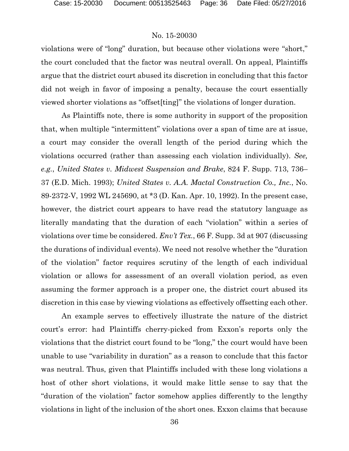violations were of "long" duration, but because other violations were "short," the court concluded that the factor was neutral overall. On appeal, Plaintiffs argue that the district court abused its discretion in concluding that this factor did not weigh in favor of imposing a penalty, because the court essentially viewed shorter violations as "offset[ting]" the violations of longer duration.

As Plaintiffs note, there is some authority in support of the proposition that, when multiple "intermittent" violations over a span of time are at issue, a court may consider the overall length of the period during which the violations occurred (rather than assessing each violation individually). *See, e.g.*, *United States v. Midwest Suspension and Brake*, 824 F. Supp. 713, 736– 37 (E.D. Mich. 1993); *United States v. A.A. Mactal Construction Co., Inc.*, No. 89-2372-V, 1992 WL 245690, at \*3 (D. Kan. Apr. 10, 1992). In the present case, however, the district court appears to have read the statutory language as literally mandating that the duration of each "violation" within a series of violations over time be considered. *Env't Tex.*, 66 F. Supp. 3d at 907 (discussing the durations of individual events). We need not resolve whether the "duration of the violation" factor requires scrutiny of the length of each individual violation or allows for assessment of an overall violation period, as even assuming the former approach is a proper one, the district court abused its discretion in this case by viewing violations as effectively offsetting each other.

An example serves to effectively illustrate the nature of the district court's error: had Plaintiffs cherry-picked from Exxon's reports only the violations that the district court found to be "long," the court would have been unable to use "variability in duration" as a reason to conclude that this factor was neutral. Thus, given that Plaintiffs included with these long violations a host of other short violations, it would make little sense to say that the "duration of the violation" factor somehow applies differently to the lengthy violations in light of the inclusion of the short ones. Exxon claims that because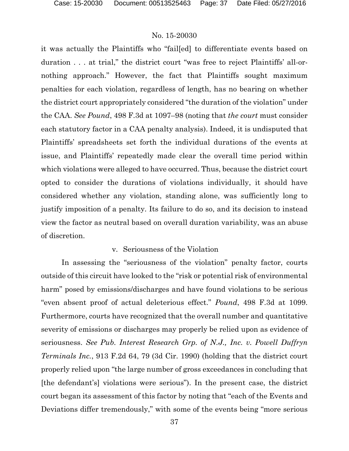it was actually the Plaintiffs who "fail[ed] to differentiate events based on duration . . . at trial," the district court "was free to reject Plaintiffs' all-ornothing approach." However, the fact that Plaintiffs sought maximum penalties for each violation, regardless of length, has no bearing on whether the district court appropriately considered "the duration of the violation" under the CAA. *See Pound*, 498 F.3d at 1097–98 (noting that *the court* must consider each statutory factor in a CAA penalty analysis). Indeed, it is undisputed that Plaintiffs' spreadsheets set forth the individual durations of the events at issue, and Plaintiffs' repeatedly made clear the overall time period within which violations were alleged to have occurred. Thus, because the district court opted to consider the durations of violations individually, it should have considered whether any violation, standing alone, was sufficiently long to justify imposition of a penalty. Its failure to do so, and its decision to instead view the factor as neutral based on overall duration variability, was an abuse of discretion.

## v. Seriousness of the Violation

In assessing the "seriousness of the violation" penalty factor, courts outside of this circuit have looked to the "risk or potential risk of environmental harm" posed by emissions/discharges and have found violations to be serious "even absent proof of actual deleterious effect." *Pound*, 498 F.3d at 1099. Furthermore, courts have recognized that the overall number and quantitative severity of emissions or discharges may properly be relied upon as evidence of seriousness. *See Pub. Interest Research Grp. of N.J., Inc. v. Powell Duffryn Terminals Inc.*, 913 F.2d 64, 79 (3d Cir. 1990) (holding that the district court properly relied upon "the large number of gross exceedances in concluding that [the defendant's] violations were serious"). In the present case, the district court began its assessment of this factor by noting that "each of the Events and Deviations differ tremendously," with some of the events being "more serious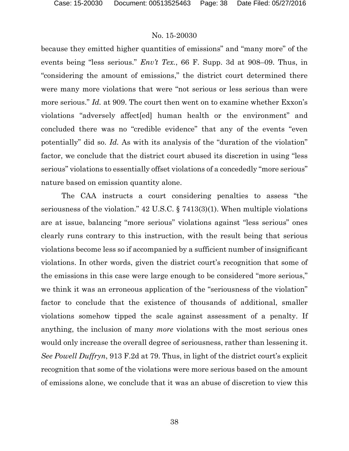because they emitted higher quantities of emissions" and "many more" of the events being "less serious." *Env't Tex.*, 66 F. Supp. 3d at 908–09. Thus, in "considering the amount of emissions," the district court determined there were many more violations that were "not serious or less serious than were more serious." *Id.* at 909. The court then went on to examine whether Exxon's violations "adversely affect[ed] human health or the environment" and concluded there was no "credible evidence" that any of the events "even potentially" did so. *Id.* As with its analysis of the "duration of the violation" factor, we conclude that the district court abused its discretion in using "less serious" violations to essentially offset violations of a concededly "more serious" nature based on emission quantity alone.

The CAA instructs a court considering penalties to assess "the seriousness of the violation." 42 U.S.C. § 7413(3)(1). When multiple violations are at issue, balancing "more serious" violations against "less serious" ones clearly runs contrary to this instruction, with the result being that serious violations become less so if accompanied by a sufficient number of insignificant violations. In other words, given the district court's recognition that some of the emissions in this case were large enough to be considered "more serious," we think it was an erroneous application of the "seriousness of the violation" factor to conclude that the existence of thousands of additional, smaller violations somehow tipped the scale against assessment of a penalty. If anything, the inclusion of many *more* violations with the most serious ones would only increase the overall degree of seriousness, rather than lessening it. *See Powell Duffryn*, 913 F.2d at 79. Thus, in light of the district court's explicit recognition that some of the violations were more serious based on the amount of emissions alone, we conclude that it was an abuse of discretion to view this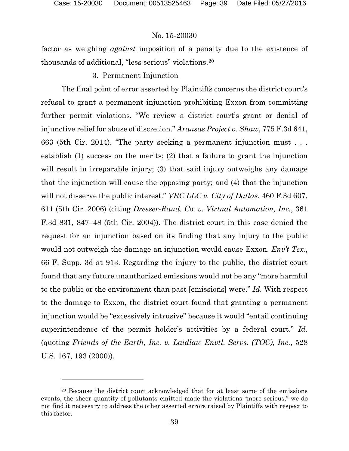# No. 15-20030

factor as weighing *against* imposition of a penalty due to the existence of thousands of additional, "less serious" violations.[20](#page-38-0)

# 3. Permanent Injunction

The final point of error asserted by Plaintiffs concerns the district court's refusal to grant a permanent injunction prohibiting Exxon from committing further permit violations. "We review a district court's grant or denial of injunctive relief for abuse of discretion." *Aransas Project v. Shaw*, 775 F.3d 641, 663 (5th Cir. 2014). "The party seeking a permanent injunction must . . . establish (1) success on the merits; (2) that a failure to grant the injunction will result in irreparable injury; (3) that said injury outweighs any damage that the injunction will cause the opposing party; and (4) that the injunction will not disserve the public interest." *VRC LLC v. City of Dallas*, 460 F.3d 607, 611 (5th Cir. 2006) (citing *Dresser-Rand, Co. v. Virtual Automation, Inc.*, 361 F.3d 831, 847–48 (5th Cir. 2004)). The district court in this case denied the request for an injunction based on its finding that any injury to the public would not outweigh the damage an injunction would cause Exxon. *Env't Tex.*, 66 F. Supp. 3d at 913. Regarding the injury to the public, the district court found that any future unauthorized emissions would not be any "more harmful to the public or the environment than past [emissions] were." *Id.* With respect to the damage to Exxon, the district court found that granting a permanent injunction would be "excessively intrusive" because it would "entail continuing superintendence of the permit holder's activities by a federal court." *Id.* (quoting *Friends of the Earth, Inc. v. Laidlaw Envtl. Servs. (TOC), Inc.*, 528 U.S. 167, 193 (2000)).

<span id="page-38-0"></span><sup>20</sup> Because the district court acknowledged that for at least some of the emissions events, the sheer quantity of pollutants emitted made the violations "more serious," we do not find it necessary to address the other asserted errors raised by Plaintiffs with respect to this factor.